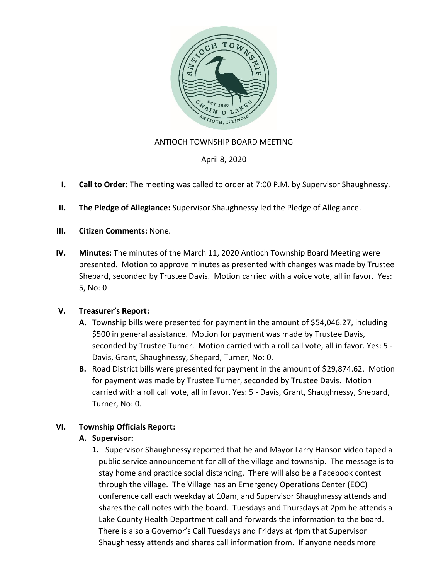

### ANTIOCH TOWNSHIP BOARD MEETING

### April 8, 2020

- **I. Call to Order:** The meeting was called to order at 7:00 P.M. by Supervisor Shaughnessy.
- **II. The Pledge of Allegiance:** Supervisor Shaughnessy led the Pledge of Allegiance.
- **III. Citizen Comments:** None.
- **IV. Minutes:** The minutes of the March 11, 2020 Antioch Township Board Meeting were presented. Motion to approve minutes as presented with changes was made by Trustee Shepard, seconded by Trustee Davis. Motion carried with a voice vote, all in favor. Yes: 5, No: 0

### **V. Treasurer's Report:**

- **A.** Township bills were presented for payment in the amount of \$54,046.27, including \$500 in general assistance. Motion for payment was made by Trustee Davis, seconded by Trustee Turner. Motion carried with a roll call vote, all in favor. Yes: 5 - Davis, Grant, Shaughnessy, Shepard, Turner, No: 0.
- **B.** Road District bills were presented for payment in the amount of \$29,874.62. Motion for payment was made by Trustee Turner, seconded by Trustee Davis. Motion carried with a roll call vote, all in favor. Yes: 5 - Davis, Grant, Shaughnessy, Shepard, Turner, No: 0.

### **VI. Township Officials Report:**

### **A. Supervisor:**

**1.** Supervisor Shaughnessy reported that he and Mayor Larry Hanson video taped a public service announcement for all of the village and township. The message is to stay home and practice social distancing. There will also be a Facebook contest through the village. The Village has an Emergency Operations Center (EOC) conference call each weekday at 10am, and Supervisor Shaughnessy attends and shares the call notes with the board. Tuesdays and Thursdays at 2pm he attends a Lake County Health Department call and forwards the information to the board. There is also a Governor's Call Tuesdays and Fridays at 4pm that Supervisor Shaughnessy attends and shares call information from. If anyone needs more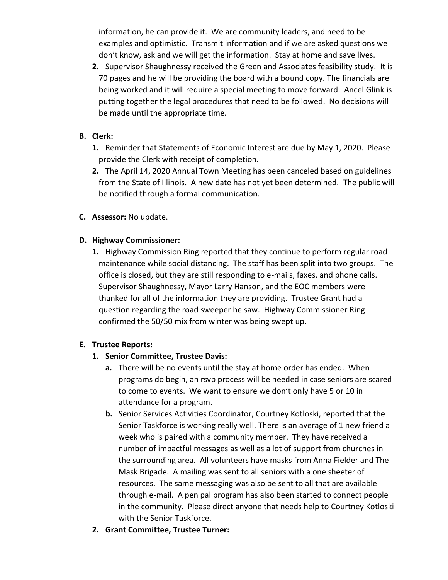information, he can provide it. We are community leaders, and need to be examples and optimistic. Transmit information and if we are asked questions we don't know, ask and we will get the information. Stay at home and save lives.

**2.** Supervisor Shaughnessy received the Green and Associates feasibility study. It is 70 pages and he will be providing the board with a bound copy. The financials are being worked and it will require a special meeting to move forward. Ancel Glink is putting together the legal procedures that need to be followed. No decisions will be made until the appropriate time.

### **B. Clerk:**

- **1.** Reminder that Statements of Economic Interest are due by May 1, 2020. Please provide the Clerk with receipt of completion.
- **2.** The April 14, 2020 Annual Town Meeting has been canceled based on guidelines from the State of Illinois. A new date has not yet been determined. The public will be notified through a formal communication.
- **C. Assessor:** No update.

# **D. Highway Commissioner:**

**1.** Highway Commission Ring reported that they continue to perform regular road maintenance while social distancing. The staff has been split into two groups. The office is closed, but they are still responding to e-mails, faxes, and phone calls. Supervisor Shaughnessy, Mayor Larry Hanson, and the EOC members were thanked for all of the information they are providing. Trustee Grant had a question regarding the road sweeper he saw. Highway Commissioner Ring confirmed the 50/50 mix from winter was being swept up.

### **E. Trustee Reports:**

### **1. Senior Committee, Trustee Davis:**

- **a.** There will be no events until the stay at home order has ended. When programs do begin, an rsvp process will be needed in case seniors are scared to come to events. We want to ensure we don't only have 5 or 10 in attendance for a program.
- **b.** Senior Services Activities Coordinator, Courtney Kotloski, reported that the Senior Taskforce is working really well. There is an average of 1 new friend a week who is paired with a community member. They have received a number of impactful messages as well as a lot of support from churches in the surrounding area. All volunteers have masks from Anna Fielder and The Mask Brigade. A mailing was sent to all seniors with a one sheeter of resources. The same messaging was also be sent to all that are available through e-mail. A pen pal program has also been started to connect people in the community. Please direct anyone that needs help to Courtney Kotloski with the Senior Taskforce.
- **2. Grant Committee, Trustee Turner:**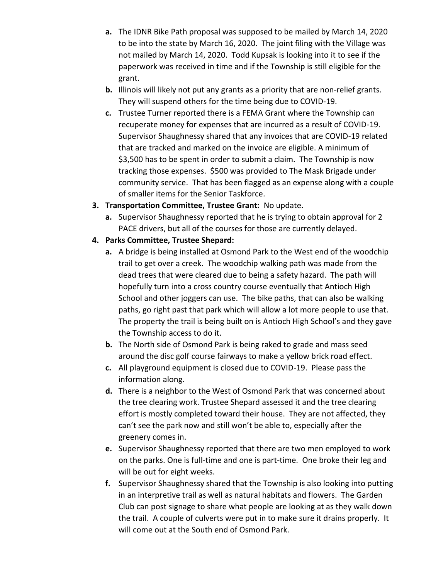- **a.** The IDNR Bike Path proposal was supposed to be mailed by March 14, 2020 to be into the state by March 16, 2020. The joint filing with the Village was not mailed by March 14, 2020. Todd Kupsak is looking into it to see if the paperwork was received in time and if the Township is still eligible for the grant.
- **b.** Illinois will likely not put any grants as a priority that are non-relief grants. They will suspend others for the time being due to COVID-19.
- **c.** Trustee Turner reported there is a FEMA Grant where the Township can recuperate money for expenses that are incurred as a result of COVID-19. Supervisor Shaughnessy shared that any invoices that are COVID-19 related that are tracked and marked on the invoice are eligible. A minimum of \$3,500 has to be spent in order to submit a claim. The Township is now tracking those expenses. \$500 was provided to The Mask Brigade under community service. That has been flagged as an expense along with a couple of smaller items for the Senior Taskforce.
- **3. Transportation Committee, Trustee Grant:** No update.
	- **a.** Supervisor Shaughnessy reported that he is trying to obtain approval for 2 PACE drivers, but all of the courses for those are currently delayed.

# **4. Parks Committee, Trustee Shepard:**

- **a.** A bridge is being installed at Osmond Park to the West end of the woodchip trail to get over a creek. The woodchip walking path was made from the dead trees that were cleared due to being a safety hazard. The path will hopefully turn into a cross country course eventually that Antioch High School and other joggers can use. The bike paths, that can also be walking paths, go right past that park which will allow a lot more people to use that. The property the trail is being built on is Antioch High School's and they gave the Township access to do it.
- **b.** The North side of Osmond Park is being raked to grade and mass seed around the disc golf course fairways to make a yellow brick road effect.
- **c.** All playground equipment is closed due to COVID-19. Please pass the information along.
- **d.** There is a neighbor to the West of Osmond Park that was concerned about the tree clearing work. Trustee Shepard assessed it and the tree clearing effort is mostly completed toward their house. They are not affected, they can't see the park now and still won't be able to, especially after the greenery comes in.
- **e.** Supervisor Shaughnessy reported that there are two men employed to work on the parks. One is full-time and one is part-time. One broke their leg and will be out for eight weeks.
- **f.** Supervisor Shaughnessy shared that the Township is also looking into putting in an interpretive trail as well as natural habitats and flowers. The Garden Club can post signage to share what people are looking at as they walk down the trail. A couple of culverts were put in to make sure it drains properly. It will come out at the South end of Osmond Park.